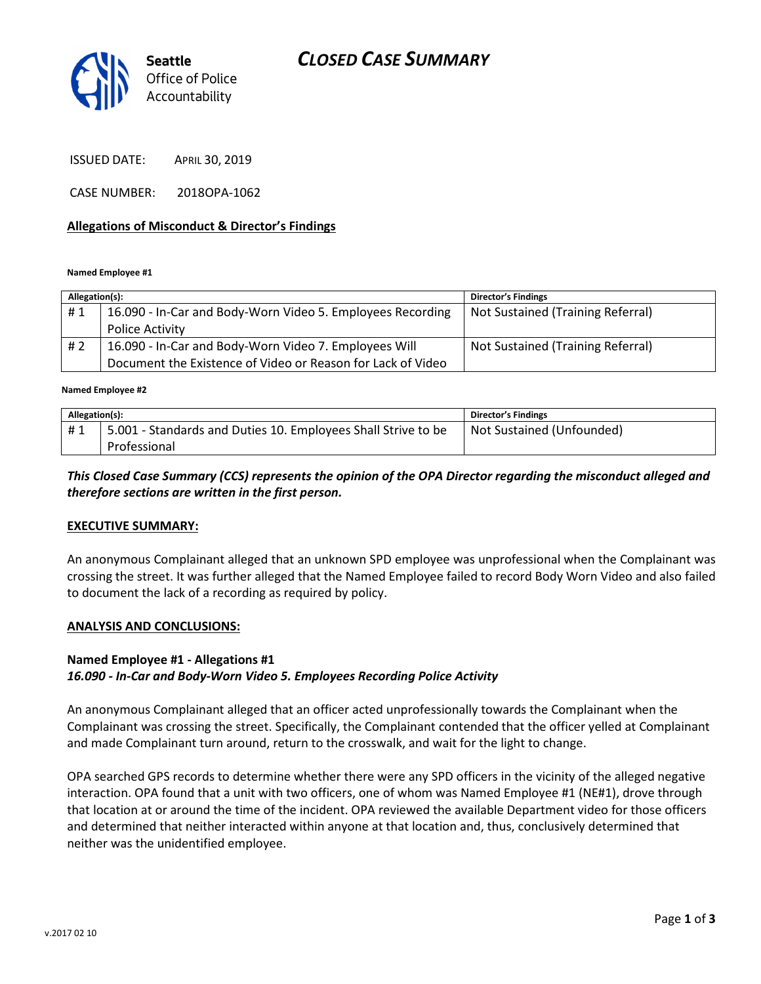

ISSUED DATE: APRIL 30, 2019

CASE NUMBER: 2018OPA-1062

#### Allegations of Misconduct & Director's Findings

Named Employee #1

| Allegation(s): |                                                             | <b>Director's Findings</b>        |
|----------------|-------------------------------------------------------------|-----------------------------------|
| #1             | 16.090 - In-Car and Body-Worn Video 5. Employees Recording  | Not Sustained (Training Referral) |
|                | Police Activity                                             |                                   |
| #2             | 16.090 - In-Car and Body-Worn Video 7. Employees Will       | Not Sustained (Training Referral) |
|                | Document the Existence of Video or Reason for Lack of Video |                                   |
|                |                                                             |                                   |

Named Employee #2

| Allegation(s): |                                                               | Director's Findings       |
|----------------|---------------------------------------------------------------|---------------------------|
| #1             | 5.001 - Standards and Duties 10. Employees Shall Strive to be | Not Sustained (Unfounded) |
|                | Professional                                                  |                           |

## This Closed Case Summary (CCS) represents the opinion of the OPA Director regarding the misconduct alleged and therefore sections are written in the first person.

## EXECUTIVE SUMMARY:

An anonymous Complainant alleged that an unknown SPD employee was unprofessional when the Complainant was crossing the street. It was further alleged that the Named Employee failed to record Body Worn Video and also failed to document the lack of a recording as required by policy.

#### ANALYSIS AND CONCLUSIONS:

### Named Employee #1 - Allegations #1

#### 16.090 - In-Car and Body-Worn Video 5. Employees Recording Police Activity

An anonymous Complainant alleged that an officer acted unprofessionally towards the Complainant when the Complainant was crossing the street. Specifically, the Complainant contended that the officer yelled at Complainant and made Complainant turn around, return to the crosswalk, and wait for the light to change.

OPA searched GPS records to determine whether there were any SPD officers in the vicinity of the alleged negative interaction. OPA found that a unit with two officers, one of whom was Named Employee #1 (NE#1), drove through that location at or around the time of the incident. OPA reviewed the available Department video for those officers and determined that neither interacted within anyone at that location and, thus, conclusively determined that neither was the unidentified employee.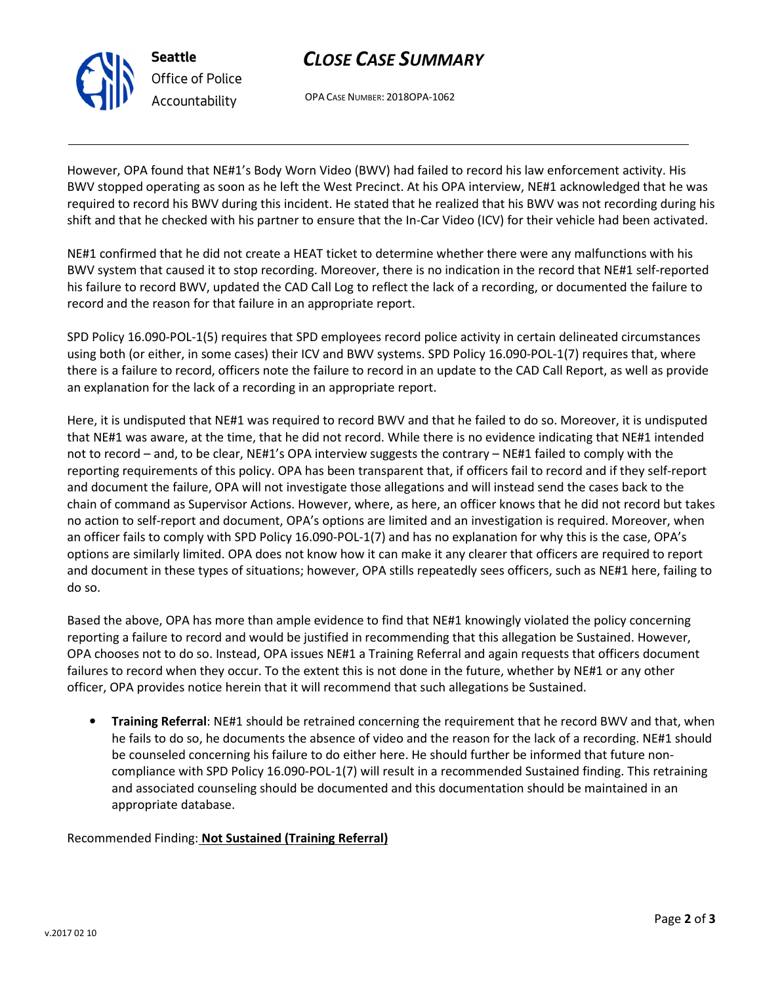

# CLOSE CASE SUMMARY

OPA CASE NUMBER: 2018OPA-1062

However, OPA found that NE#1's Body Worn Video (BWV) had failed to record his law enforcement activity. His BWV stopped operating as soon as he left the West Precinct. At his OPA interview, NE#1 acknowledged that he was required to record his BWV during this incident. He stated that he realized that his BWV was not recording during his shift and that he checked with his partner to ensure that the In-Car Video (ICV) for their vehicle had been activated.

NE#1 confirmed that he did not create a HEAT ticket to determine whether there were any malfunctions with his BWV system that caused it to stop recording. Moreover, there is no indication in the record that NE#1 self-reported his failure to record BWV, updated the CAD Call Log to reflect the lack of a recording, or documented the failure to record and the reason for that failure in an appropriate report.

SPD Policy 16.090-POL-1(5) requires that SPD employees record police activity in certain delineated circumstances using both (or either, in some cases) their ICV and BWV systems. SPD Policy 16.090-POL-1(7) requires that, where there is a failure to record, officers note the failure to record in an update to the CAD Call Report, as well as provide an explanation for the lack of a recording in an appropriate report.

Here, it is undisputed that NE#1 was required to record BWV and that he failed to do so. Moreover, it is undisputed that NE#1 was aware, at the time, that he did not record. While there is no evidence indicating that NE#1 intended not to record – and, to be clear, NE#1's OPA interview suggests the contrary – NE#1 failed to comply with the reporting requirements of this policy. OPA has been transparent that, if officers fail to record and if they self-report and document the failure, OPA will not investigate those allegations and will instead send the cases back to the chain of command as Supervisor Actions. However, where, as here, an officer knows that he did not record but takes no action to self-report and document, OPA's options are limited and an investigation is required. Moreover, when an officer fails to comply with SPD Policy 16.090-POL-1(7) and has no explanation for why this is the case, OPA's options are similarly limited. OPA does not know how it can make it any clearer that officers are required to report and document in these types of situations; however, OPA stills repeatedly sees officers, such as NE#1 here, failing to do so.

Based the above, OPA has more than ample evidence to find that NE#1 knowingly violated the policy concerning reporting a failure to record and would be justified in recommending that this allegation be Sustained. However, OPA chooses not to do so. Instead, OPA issues NE#1 a Training Referral and again requests that officers document failures to record when they occur. To the extent this is not done in the future, whether by NE#1 or any other officer, OPA provides notice herein that it will recommend that such allegations be Sustained.

• Training Referral: NE#1 should be retrained concerning the requirement that he record BWV and that, when he fails to do so, he documents the absence of video and the reason for the lack of a recording. NE#1 should be counseled concerning his failure to do either here. He should further be informed that future noncompliance with SPD Policy 16.090-POL-1(7) will result in a recommended Sustained finding. This retraining and associated counseling should be documented and this documentation should be maintained in an appropriate database.

Recommended Finding: Not Sustained (Training Referral)